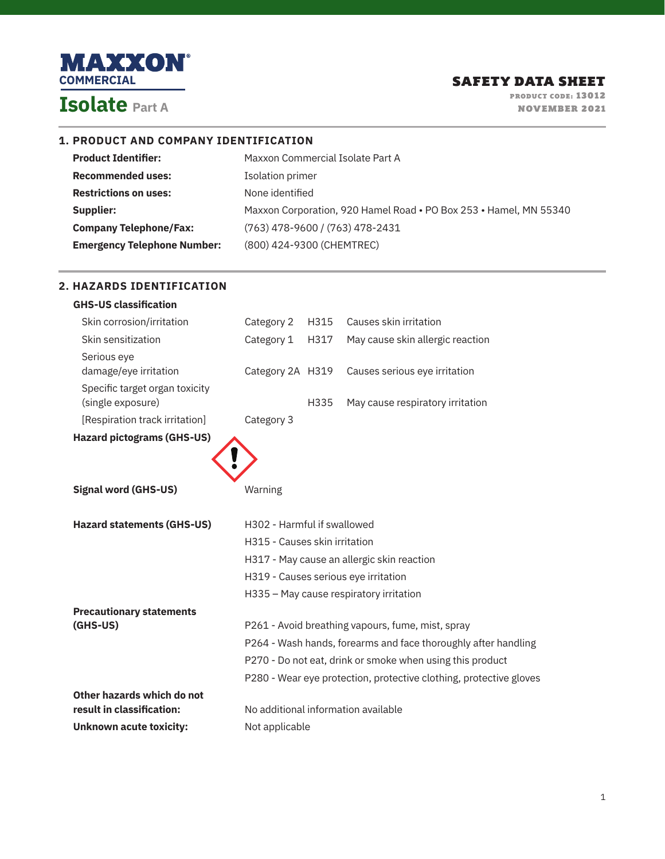

**2. HAZARDS IDENTIFICATION**

PRODUCT CODE: 13012 NOVEMBER 2021

## **1. PRODUCT AND COMPANY IDENTIFICATION**

| <b>Product Identifier:</b>         | Maxxon Commercial Isolate Part A                                  |
|------------------------------------|-------------------------------------------------------------------|
| <b>Recommended uses:</b>           | Isolation primer                                                  |
| <b>Restrictions on uses:</b>       | None identified                                                   |
| Supplier:                          | Maxxon Corporation, 920 Hamel Road • PO Box 253 • Hamel, MN 55340 |
| <b>Company Telephone/Fax:</b>      | (763) 478-9600 / (763) 478-2431                                   |
| <b>Emergency Telephone Number:</b> | (800) 424-9300 (CHEMTREC)                                         |

| <b>GHS-US classification</b>      |                               |      |                                                                    |
|-----------------------------------|-------------------------------|------|--------------------------------------------------------------------|
| Skin corrosion/irritation         | Category 2                    | H315 | Causes skin irritation                                             |
| Skin sensitization                | Category 1                    | H317 | May cause skin allergic reaction                                   |
| Serious eye                       |                               |      |                                                                    |
| damage/eye irritation             | Category 2A H319              |      | Causes serious eye irritation                                      |
| Specific target organ toxicity    |                               |      |                                                                    |
| (single exposure)                 |                               | H335 | May cause respiratory irritation                                   |
| [Respiration track irritation]    | Category 3                    |      |                                                                    |
| <b>Hazard pictograms (GHS-US)</b> |                               |      |                                                                    |
|                                   |                               |      |                                                                    |
|                                   |                               |      |                                                                    |
| <b>Signal word (GHS-US)</b>       | Warning                       |      |                                                                    |
|                                   |                               |      |                                                                    |
|                                   |                               |      |                                                                    |
| <b>Hazard statements (GHS-US)</b> | H302 - Harmful if swallowed   |      |                                                                    |
|                                   | H315 - Causes skin irritation |      |                                                                    |
|                                   |                               |      |                                                                    |
|                                   |                               |      | H317 - May cause an allergic skin reaction                         |
|                                   |                               |      | H319 - Causes serious eye irritation                               |
|                                   |                               |      | H335 - May cause respiratory irritation                            |
| <b>Precautionary statements</b>   |                               |      |                                                                    |
| $(GHS-US)$                        |                               |      | P261 - Avoid breathing vapours, fume, mist, spray                  |
|                                   |                               |      | P264 - Wash hands, forearms and face thoroughly after handling     |
|                                   |                               |      | P270 - Do not eat, drink or smoke when using this product          |
|                                   |                               |      | P280 - Wear eye protection, protective clothing, protective gloves |
| Other hazards which do not        |                               |      |                                                                    |
| result in classification:         |                               |      | No additional information available                                |
| <b>Unknown acute toxicity:</b>    | Not applicable                |      |                                                                    |

### 1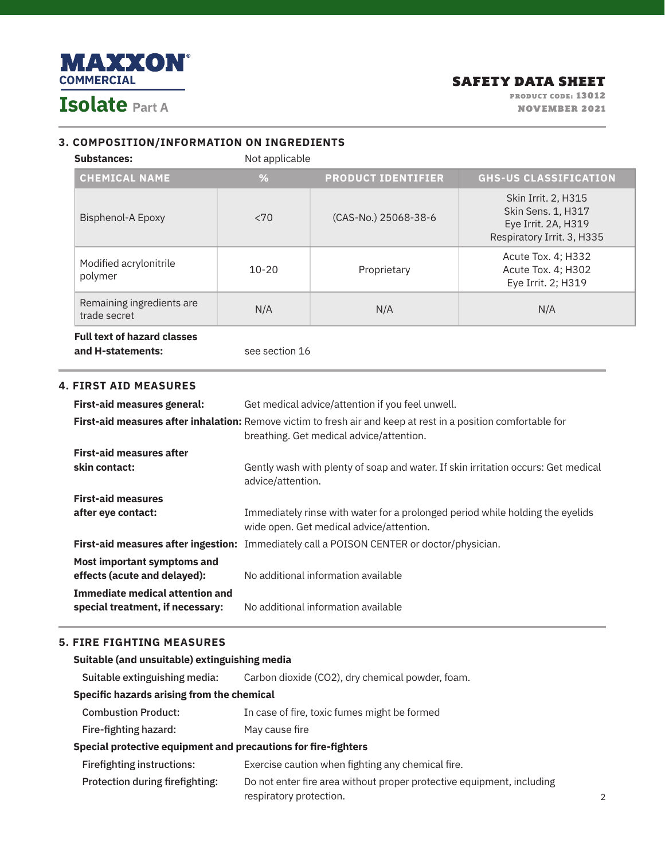

## **3. COMPOSITION/INFORMATION ON INGREDIENTS**

Substances: Not applicable

| <b>CHEMICAL NAME</b>                      | %         | <b>PRODUCT IDENTIFIER</b> | <b>GHS-US CLASSIFICATION</b>                                                                   |
|-------------------------------------------|-----------|---------------------------|------------------------------------------------------------------------------------------------|
| <b>Bisphenol-A Epoxy</b>                  | < 70      | (CAS-No.) 25068-38-6      | Skin Irrit. 2, H315<br>Skin Sens. 1, H317<br>Eye Irrit. 2A, H319<br>Respiratory Irrit. 3, H335 |
| Modified acrylonitrile<br>polymer         | $10 - 20$ | Proprietary               | Acute Tox. 4: H332<br>Acute Tox. 4; H302<br>Eye Irrit. 2; H319                                 |
| Remaining ingredients are<br>trade secret | N/A       | N/A                       | N/A                                                                                            |
| <b>Full text of hazard classes</b>        |           |                           |                                                                                                |

**Full text of hazard classes and H-statements: see section 16** 

## **4. FIRST AID MEASURES**

| First-aid measures general:                                 | Get medical advice/attention if you feel unwell.                                                                                                           |
|-------------------------------------------------------------|------------------------------------------------------------------------------------------------------------------------------------------------------------|
|                                                             | First-aid measures after inhalation: Remove victim to fresh air and keep at rest in a position comfortable for<br>breathing. Get medical advice/attention. |
| <b>First-aid measures after</b>                             |                                                                                                                                                            |
| skin contact:                                               | Gently wash with plenty of soap and water. If skin irritation occurs: Get medical<br>advice/attention.                                                     |
| <b>First-aid measures</b>                                   |                                                                                                                                                            |
| after eye contact:                                          | Immediately rinse with water for a prolonged period while holding the eyelids<br>wide open. Get medical advice/attention.                                  |
|                                                             | First-aid measures after ingestion: Immediately call a POISON CENTER or doctor/physician.                                                                  |
| Most important symptoms and<br>effects (acute and delayed): | No additional information available                                                                                                                        |
| Immediate medical attention and                             |                                                                                                                                                            |
| special treatment, if necessary:                            | No additional information available                                                                                                                        |

# **5. FIRE FIGHTING MEASURES**

| Suitable (and unsuitable) extinguishing media                  |                                                                                                  |  |
|----------------------------------------------------------------|--------------------------------------------------------------------------------------------------|--|
| Suitable extinguishing media:                                  | Carbon dioxide (CO2), dry chemical powder, foam.                                                 |  |
| Specific hazards arising from the chemical                     |                                                                                                  |  |
| <b>Combustion Product:</b>                                     | In case of fire, toxic fumes might be formed                                                     |  |
| Fire-fighting hazard:                                          | May cause fire                                                                                   |  |
| Special protective equipment and precautions for fire-fighters |                                                                                                  |  |
| <b>Firefighting instructions:</b>                              | Exercise caution when fighting any chemical fire.                                                |  |
| Protection during firefighting:                                | Do not enter fire area without proper protective equipment, including<br>respiratory protection. |  |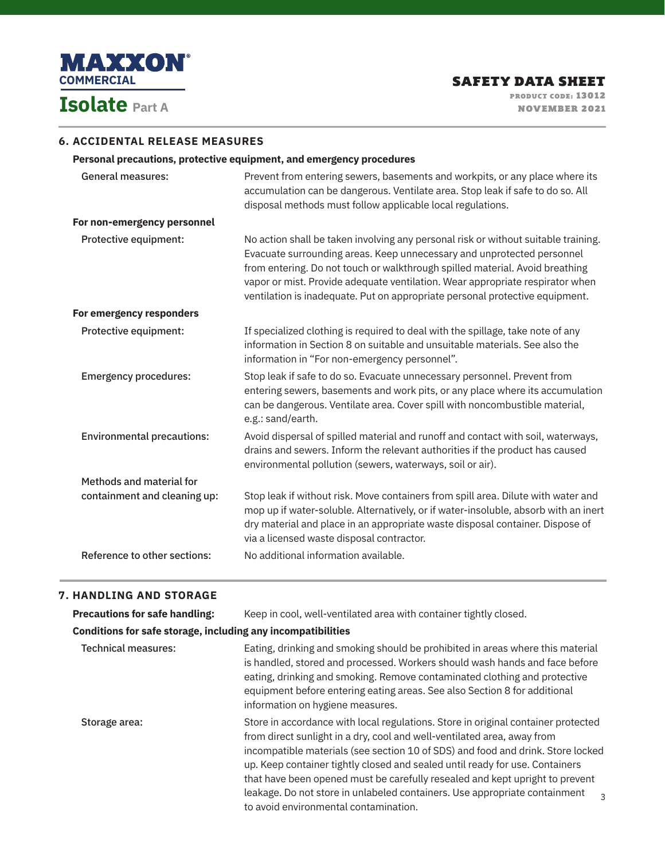

### **6. ACCIDENTAL RELEASE MEASURES**

## **Personal precautions, protective equipment, and emergency procedures**

| Prevent from entering sewers, basements and workpits, or any place where its<br>accumulation can be dangerous. Ventilate area. Stop leak if safe to do so. All<br>disposal methods must follow applicable local regulations.                                                                                                                                                                                  |
|---------------------------------------------------------------------------------------------------------------------------------------------------------------------------------------------------------------------------------------------------------------------------------------------------------------------------------------------------------------------------------------------------------------|
|                                                                                                                                                                                                                                                                                                                                                                                                               |
| No action shall be taken involving any personal risk or without suitable training.<br>Evacuate surrounding areas. Keep unnecessary and unprotected personnel<br>from entering. Do not touch or walkthrough spilled material. Avoid breathing<br>vapor or mist. Provide adequate ventilation. Wear appropriate respirator when<br>ventilation is inadequate. Put on appropriate personal protective equipment. |
|                                                                                                                                                                                                                                                                                                                                                                                                               |
| If specialized clothing is required to deal with the spillage, take note of any<br>information in Section 8 on suitable and unsuitable materials. See also the<br>information in "For non-emergency personnel".                                                                                                                                                                                               |
| Stop leak if safe to do so. Evacuate unnecessary personnel. Prevent from<br>entering sewers, basements and work pits, or any place where its accumulation<br>can be dangerous. Ventilate area. Cover spill with noncombustible material,<br>e.g.: sand/earth.                                                                                                                                                 |
| Avoid dispersal of spilled material and runoff and contact with soil, waterways,<br>drains and sewers. Inform the relevant authorities if the product has caused<br>environmental pollution (sewers, waterways, soil or air).                                                                                                                                                                                 |
|                                                                                                                                                                                                                                                                                                                                                                                                               |
| Stop leak if without risk. Move containers from spill area. Dilute with water and<br>mop up if water-soluble. Alternatively, or if water-insoluble, absorb with an inert<br>dry material and place in an appropriate waste disposal container. Dispose of<br>via a licensed waste disposal contractor.                                                                                                        |
| No additional information available.                                                                                                                                                                                                                                                                                                                                                                          |
|                                                                                                                                                                                                                                                                                                                                                                                                               |

### **7. HANDLING AND STORAGE**

| <b>Precautions for safe handling:</b>                        | Keep in cool, well-ventilated area with container tightly closed.                                                                                                                                                                                                                                                                                                                                                                                                                                                                      |
|--------------------------------------------------------------|----------------------------------------------------------------------------------------------------------------------------------------------------------------------------------------------------------------------------------------------------------------------------------------------------------------------------------------------------------------------------------------------------------------------------------------------------------------------------------------------------------------------------------------|
| Conditions for safe storage, including any incompatibilities |                                                                                                                                                                                                                                                                                                                                                                                                                                                                                                                                        |
| Technical measures:                                          | Eating, drinking and smoking should be prohibited in areas where this material<br>is handled, stored and processed. Workers should wash hands and face before<br>eating, drinking and smoking. Remove contaminated clothing and protective<br>equipment before entering eating areas. See also Section 8 for additional<br>information on hygiene measures.                                                                                                                                                                            |
| Storage area:                                                | Store in accordance with local regulations. Store in original container protected<br>from direct sunlight in a dry, cool and well-ventilated area, away from<br>incompatible materials (see section 10 of SDS) and food and drink. Store locked<br>up. Keep container tightly closed and sealed until ready for use. Containers<br>that have been opened must be carefully resealed and kept upright to prevent<br>leakage. Do not store in unlabeled containers. Use appropriate containment<br>to avoid environmental contamination. |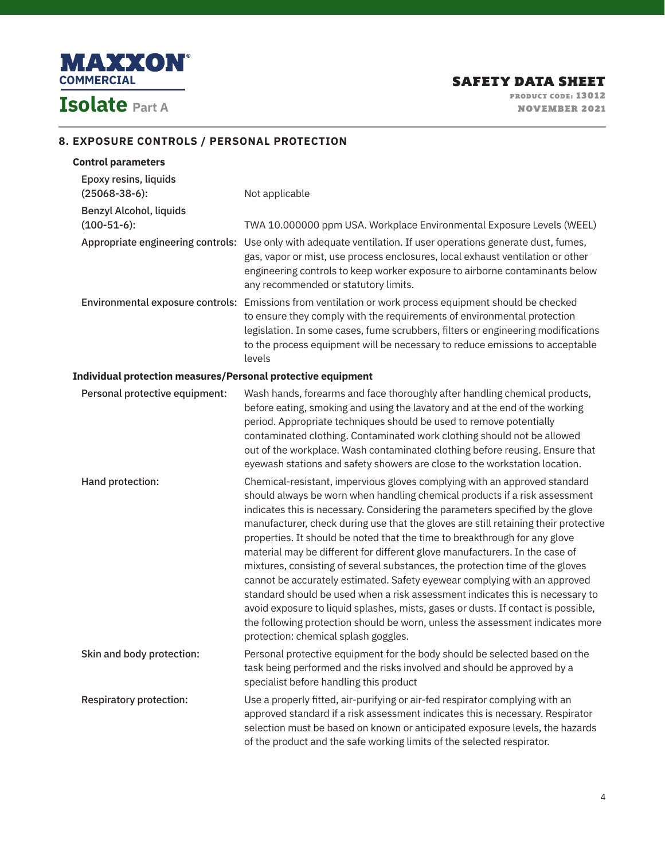

# **8. EXPOSURE CONTROLS / PERSONAL PROTECTION**

| <b>Control parameters</b>                                    |                                                                                                                                                                                                                                                                                                                                                                                                                                                                                                                                                                                                                                                                                                                                                                                                                                                                                                                                                            |
|--------------------------------------------------------------|------------------------------------------------------------------------------------------------------------------------------------------------------------------------------------------------------------------------------------------------------------------------------------------------------------------------------------------------------------------------------------------------------------------------------------------------------------------------------------------------------------------------------------------------------------------------------------------------------------------------------------------------------------------------------------------------------------------------------------------------------------------------------------------------------------------------------------------------------------------------------------------------------------------------------------------------------------|
| Epoxy resins, liquids<br>$(25068-38-6)$ :                    | Not applicable                                                                                                                                                                                                                                                                                                                                                                                                                                                                                                                                                                                                                                                                                                                                                                                                                                                                                                                                             |
| Benzyl Alcohol, liquids<br>$(100-51-6)$ :                    | TWA 10.000000 ppm USA. Workplace Environmental Exposure Levels (WEEL)                                                                                                                                                                                                                                                                                                                                                                                                                                                                                                                                                                                                                                                                                                                                                                                                                                                                                      |
|                                                              | Appropriate engineering controls: Use only with adequate ventilation. If user operations generate dust, fumes,<br>gas, vapor or mist, use process enclosures, local exhaust ventilation or other<br>engineering controls to keep worker exposure to airborne contaminants below<br>any recommended or statutory limits.                                                                                                                                                                                                                                                                                                                                                                                                                                                                                                                                                                                                                                    |
|                                                              | Environmental exposure controls: Emissions from ventilation or work process equipment should be checked<br>to ensure they comply with the requirements of environmental protection<br>legislation. In some cases, fume scrubbers, filters or engineering modifications<br>to the process equipment will be necessary to reduce emissions to acceptable<br>levels                                                                                                                                                                                                                                                                                                                                                                                                                                                                                                                                                                                           |
| Individual protection measures/Personal protective equipment |                                                                                                                                                                                                                                                                                                                                                                                                                                                                                                                                                                                                                                                                                                                                                                                                                                                                                                                                                            |
| Personal protective equipment:                               | Wash hands, forearms and face thoroughly after handling chemical products,<br>before eating, smoking and using the lavatory and at the end of the working<br>period. Appropriate techniques should be used to remove potentially<br>contaminated clothing. Contaminated work clothing should not be allowed<br>out of the workplace. Wash contaminated clothing before reusing. Ensure that<br>eyewash stations and safety showers are close to the workstation location.                                                                                                                                                                                                                                                                                                                                                                                                                                                                                  |
| Hand protection:                                             | Chemical-resistant, impervious gloves complying with an approved standard<br>should always be worn when handling chemical products if a risk assessment<br>indicates this is necessary. Considering the parameters specified by the glove<br>manufacturer, check during use that the gloves are still retaining their protective<br>properties. It should be noted that the time to breakthrough for any glove<br>material may be different for different glove manufacturers. In the case of<br>mixtures, consisting of several substances, the protection time of the gloves<br>cannot be accurately estimated. Safety eyewear complying with an approved<br>standard should be used when a risk assessment indicates this is necessary to<br>avoid exposure to liquid splashes, mists, gases or dusts. If contact is possible,<br>the following protection should be worn, unless the assessment indicates more<br>protection: chemical splash goggles. |
| Skin and body protection:                                    | Personal protective equipment for the body should be selected based on the<br>task being performed and the risks involved and should be approved by a<br>specialist before handling this product                                                                                                                                                                                                                                                                                                                                                                                                                                                                                                                                                                                                                                                                                                                                                           |
| <b>Respiratory protection:</b>                               | Use a properly fitted, air-purifying or air-fed respirator complying with an<br>approved standard if a risk assessment indicates this is necessary. Respirator<br>selection must be based on known or anticipated exposure levels, the hazards<br>of the product and the safe working limits of the selected respirator.                                                                                                                                                                                                                                                                                                                                                                                                                                                                                                                                                                                                                                   |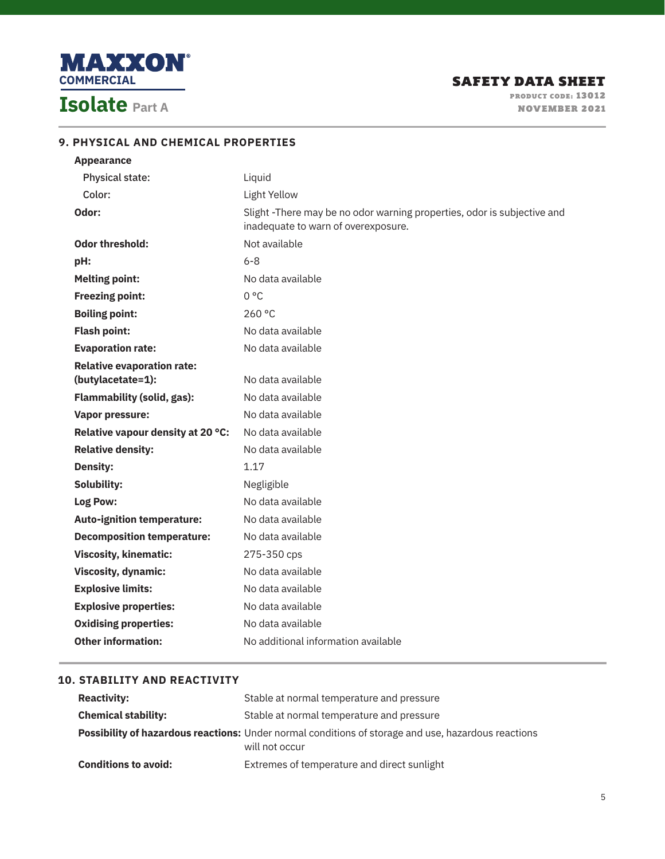

| <b>Appearance</b>                                      |                                                                                                               |
|--------------------------------------------------------|---------------------------------------------------------------------------------------------------------------|
| Physical state:                                        | Liquid                                                                                                        |
| Color:                                                 | Light Yellow                                                                                                  |
| Odor:                                                  | Slight-There may be no odor warning properties, odor is subjective and<br>inadequate to warn of overexposure. |
| <b>Odor threshold:</b>                                 | Not available                                                                                                 |
| pH:                                                    | $6 - 8$                                                                                                       |
| <b>Melting point:</b>                                  | No data available                                                                                             |
| <b>Freezing point:</b>                                 | $0^{\circ}$ C                                                                                                 |
| <b>Boiling point:</b>                                  | 260 °C                                                                                                        |
| <b>Flash point:</b>                                    | No data available                                                                                             |
| <b>Evaporation rate:</b>                               | No data available                                                                                             |
| <b>Relative evaporation rate:</b><br>(butylacetate=1): | No data available                                                                                             |
| <b>Flammability (solid, gas):</b>                      | No data available                                                                                             |
| <b>Vapor pressure:</b>                                 | No data available                                                                                             |
| Relative vapour density at 20 °C:                      | No data available                                                                                             |
| <b>Relative density:</b>                               | No data available                                                                                             |
| <b>Density:</b>                                        | 1.17                                                                                                          |
| Solubility:                                            | Negligible                                                                                                    |
| Log Pow:                                               | No data available                                                                                             |
| <b>Auto-ignition temperature:</b>                      | No data available                                                                                             |
| <b>Decomposition temperature:</b>                      | No data available                                                                                             |
| <b>Viscosity, kinematic:</b>                           | 275-350 cps                                                                                                   |
| <b>Viscosity, dynamic:</b>                             | No data available                                                                                             |
| <b>Explosive limits:</b>                               | No data available                                                                                             |
| <b>Explosive properties:</b>                           | No data available                                                                                             |
| <b>Oxidising properties:</b>                           | No data available                                                                                             |
| <b>Other information:</b>                              | No additional information available                                                                           |

# **9. PHYSICAL AND CHEMICAL PROPERTIES**

# **10. STABILITY AND REACTIVITY**

| <b>Reactivity:</b>          | Stable at normal temperature and pressure                                                                                    |
|-----------------------------|------------------------------------------------------------------------------------------------------------------------------|
| <b>Chemical stability:</b>  | Stable at normal temperature and pressure                                                                                    |
|                             | <b>Possibility of hazardous reactions:</b> Under normal conditions of storage and use, hazardous reactions<br>will not occur |
| <b>Conditions to avoid:</b> | Extremes of temperature and direct sunlight                                                                                  |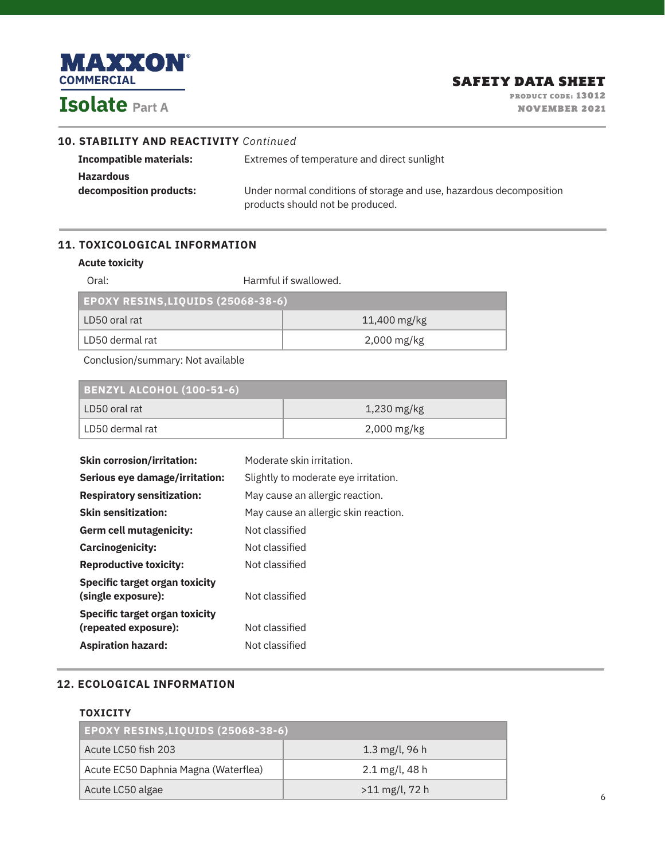

|  | <b>10. STABILITY AND REACTIVITY Continued</b> |  |
|--|-----------------------------------------------|--|
|--|-----------------------------------------------|--|

| Incompatible materials: | Extremes of temperature and direct sunlight                         |  |
|-------------------------|---------------------------------------------------------------------|--|
| <b>Hazardous</b>        |                                                                     |  |
| decomposition products: | Under normal conditions of storage and use, hazardous decomposition |  |
|                         | products should not be produced.                                    |  |

# **11. TOXICOLOGICAL INFORMATION**

### **Acute toxicity**

| Oral:                                     | Harmful if swallowed.    |  |  |
|-------------------------------------------|--------------------------|--|--|
| <b>EPOXY RESINS, LIQUIDS (25068-38-6)</b> |                          |  |  |
| LD50 oral rat                             | 11,400 mg/kg             |  |  |
| LD50 dermal rat                           | $2,000 \,\mathrm{mg/kg}$ |  |  |

Conclusion/summary: Not available

| <b>BENZYL ALCOHOL (100-51-6)</b> |                          |  |
|----------------------------------|--------------------------|--|
| LD50 oral rat                    | $1,230 \,\mathrm{mg/kg}$ |  |
| LD50 dermal rat                  | $2,000 \,\mathrm{mg/kg}$ |  |

| <b>Skin corrosion/irritation:</b>                    | Moderate skin irritation.            |  |
|------------------------------------------------------|--------------------------------------|--|
| Serious eye damage/irritation:                       | Slightly to moderate eye irritation. |  |
| <b>Respiratory sensitization:</b>                    | May cause an allergic reaction.      |  |
| <b>Skin sensitization:</b>                           | May cause an allergic skin reaction. |  |
| <b>Germ cell mutagenicity:</b>                       | Not classified                       |  |
| <b>Carcinogenicity:</b>                              | Not classified                       |  |
| <b>Reproductive toxicity:</b>                        | Not classified                       |  |
| Specific target organ toxicity<br>(single exposure): | Not classified                       |  |
| Specific target organ toxicity                       |                                      |  |
| (repeated exposure):                                 | Not classified                       |  |
| <b>Aspiration hazard:</b>                            | Not classified                       |  |

# **12. ECOLOGICAL INFORMATION**

### **TOXICITY**

| <b>EPOXY RESINS, LIQUIDS (25068-38-6)</b> |                              |  |
|-------------------------------------------|------------------------------|--|
| Acute LC50 fish 203                       | 1.3 mg/l, 96 h               |  |
| Acute EC50 Daphnia Magna (Waterflea)      | $2.1 \,\mathrm{mg/l}$ , 48 h |  |
| Acute LC50 algae                          | $>11 \text{ mg/l}$ , 72 h    |  |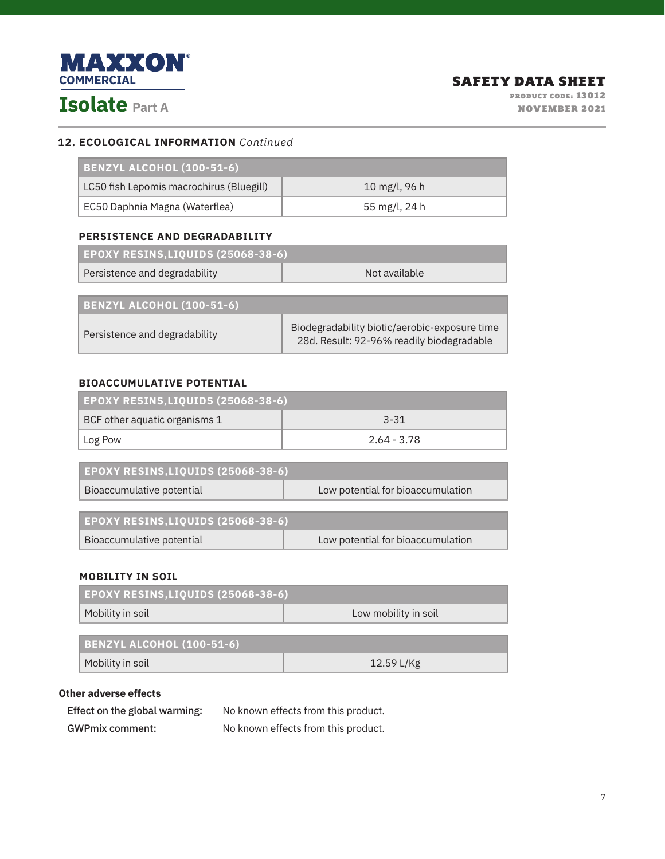

## **12. ECOLOGICAL INFORMATION** *Continued*

| BENZYL ALCOHOL (100-51-6)                |               |  |
|------------------------------------------|---------------|--|
| LC50 fish Lepomis macrochirus (Bluegill) | 10 mg/l, 96 h |  |
| EC50 Daphnia Magna (Waterflea)           | 55 mg/l, 24 h |  |

### **PERSISTENCE AND DEGRADABILITY**

| <b>EPOXY RESINS, LIQUIDS (25068-38-6)</b> |               |
|-------------------------------------------|---------------|
| Persistence and degradability             | Not available |
|                                           |               |

| <b>BENZYL ALCOHOL (100-51-6)</b> |                                                                                            |
|----------------------------------|--------------------------------------------------------------------------------------------|
| Persistence and degradability    | Biodegradability biotic/aerobic-exposure time<br>28d. Result: 92-96% readily biodegradable |

# **BIOACCUMULATIVE POTENTIAL**

| EPOXY RESINS, LIQUIDS (25068-38-6) |             |  |
|------------------------------------|-------------|--|
| BCF other aquatic organisms 1      | $3 - 31$    |  |
| Log Pow                            | 2.64 - 3.78 |  |

| <b>EPOXY RESINS, LIQUIDS (25068-38-6)</b> |                                   |  |
|-------------------------------------------|-----------------------------------|--|
| Bioaccumulative potential                 | Low potential for bioaccumulation |  |

| <b>EPOXY RESINS,LIQUIDS (25068-38-6)</b> |                                   |  |
|------------------------------------------|-----------------------------------|--|
| Bioaccumulative potential                | Low potential for bioaccumulation |  |

### **MOBILITY IN SOIL**

| <b>EPOXY RESINS, LIQUIDS (25068-38-6)</b> |  |  |
|-------------------------------------------|--|--|
| Mobility in soil<br>Low mobility in soil  |  |  |
|                                           |  |  |
| <b>BENZYL ALCOHOL (100-51-6)</b>          |  |  |

| Mobility in soil |  | 12.59 L/Kg |
|------------------|--|------------|
|                  |  |            |

# **Other adverse effects**

| Effect on the global warming: | No known effects from this product. |
|-------------------------------|-------------------------------------|
| <b>GWPmix comment:</b>        | No known effects from this product. |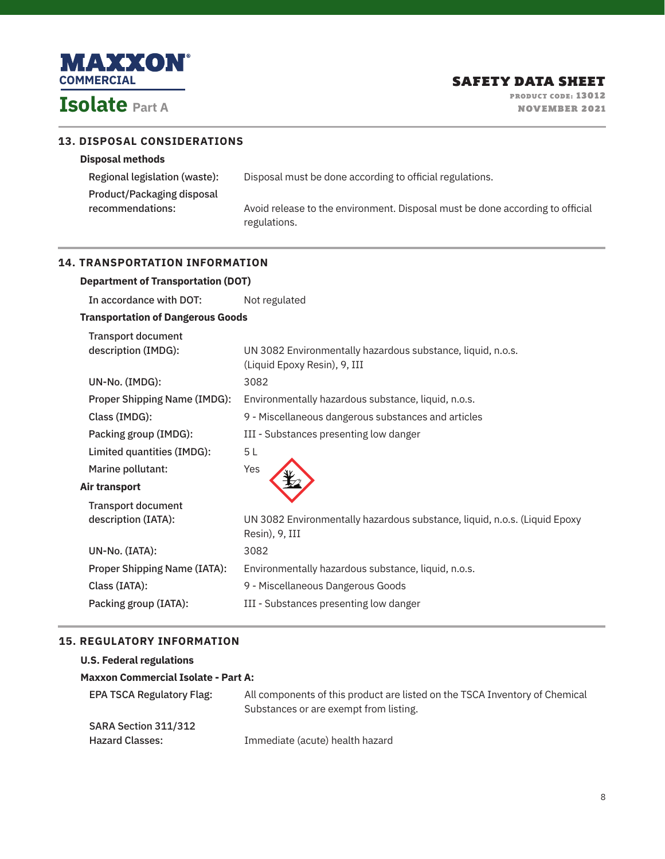

**Disposal methods**

 $\overline{\phantom{a}}$ 

**13. DISPOSAL CONSIDERATIONS**

PRODUCT CODE: 13012 NOVEMBER 2021

| Product/Packaging disposal<br>recommendations:   | Avoid release to the environment. Disposal must be done according to official<br>regulations. |  |
|--------------------------------------------------|-----------------------------------------------------------------------------------------------|--|
| <b>14. TRANSPORTATION INFORMATION</b>            |                                                                                               |  |
| <b>Department of Transportation (DOT)</b>        |                                                                                               |  |
| In accordance with DOT:                          | Not regulated                                                                                 |  |
| <b>Transportation of Dangerous Goods</b>         |                                                                                               |  |
| <b>Transport document</b><br>description (IMDG): | UN 3082 Environmentally hazardous substance, liquid, n.o.s.<br>(Liquid Epoxy Resin), 9, III   |  |
| UN-No. (IMDG):                                   | 3082                                                                                          |  |
| <b>Proper Shipping Name (IMDG):</b>              | Environmentally hazardous substance, liquid, n.o.s.                                           |  |
| Class (IMDG):                                    | 9 - Miscellaneous dangerous substances and articles                                           |  |
| Packing group (IMDG):                            | III - Substances presenting low danger                                                        |  |
| Limited quantities (IMDG):                       | 5L                                                                                            |  |
| Marine pollutant:                                | Yes                                                                                           |  |
| Air transport                                    |                                                                                               |  |
| <b>Transport document</b><br>description (IATA): | UN 3082 Environmentally hazardous substance, liquid, n.o.s. (Liquid Epoxy                     |  |
|                                                  | Resin), 9, III                                                                                |  |
| UN-No. (IATA):                                   | 3082                                                                                          |  |
| <b>Proper Shipping Name (IATA):</b>              | Environmentally hazardous substance, liquid, n.o.s.                                           |  |
| Class (IATA):                                    | 9 - Miscellaneous Dangerous Goods                                                             |  |
| Packing group (IATA):                            | III - Substances presenting low danger                                                        |  |

Regional legislation (waste): Disposal must be done according to official regulations.

# **15. REGULATORY INFORMATION**

**U.S. Federal regulations**

# **Maxxon Commercial Isolate - Part A:**

| <b>EPA TSCA Regulatory Flag:</b> | All components of this product are listed on the TSCA Inventory of Chemical |
|----------------------------------|-----------------------------------------------------------------------------|
|                                  | Substances or are exempt from listing.                                      |
| SARA Section 311/312             |                                                                             |
| <b>Hazard Classes:</b>           | Immediate (acute) health hazard                                             |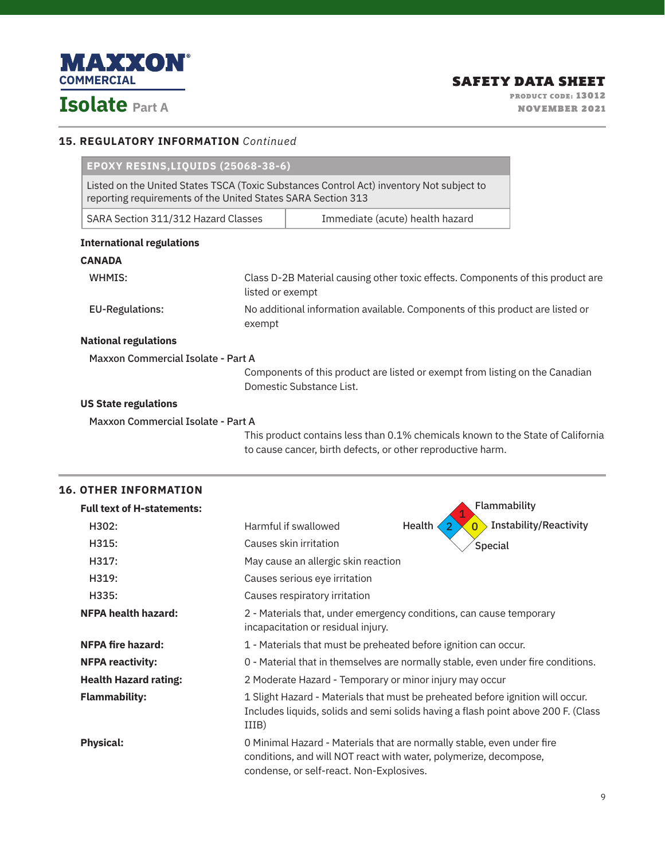

### **15. REGULATORY INFORMATION** *Continued*

| EPOXY RESINS, LIQUIDS (25068-38-6)                           |        |                                                                                                                                                |  |  |
|--------------------------------------------------------------|--------|------------------------------------------------------------------------------------------------------------------------------------------------|--|--|
| reporting requirements of the United States SARA Section 313 |        | Listed on the United States TSCA (Toxic Substances Control Act) inventory Not subject to                                                       |  |  |
| SARA Section 311/312 Hazard Classes                          |        | Immediate (acute) health hazard                                                                                                                |  |  |
| <b>International regulations</b>                             |        |                                                                                                                                                |  |  |
| <b>CANADA</b>                                                |        |                                                                                                                                                |  |  |
| WHMIS:                                                       |        | Class D-2B Material causing other toxic effects. Components of this product are<br>listed or exempt                                            |  |  |
| <b>EU-Regulations:</b>                                       | exempt | No additional information available. Components of this product are listed or                                                                  |  |  |
| <b>National regulations</b>                                  |        |                                                                                                                                                |  |  |
| <b>Maxxon Commercial Isolate - Part A</b>                    |        |                                                                                                                                                |  |  |
|                                                              |        | Components of this product are listed or exempt from listing on the Canadian<br>Domestic Substance List.                                       |  |  |
| <b>US State regulations</b>                                  |        |                                                                                                                                                |  |  |
| <b>Maxxon Commercial Isolate - Part A</b>                    |        |                                                                                                                                                |  |  |
|                                                              |        | This product contains less than 0.1% chemicals known to the State of California<br>to cause cancer, birth defects, or other reproductive harm. |  |  |

| <b>Full text of H-statements:</b> |                                                                                                                                                                                         | Flammability                                        |  |  |
|-----------------------------------|-----------------------------------------------------------------------------------------------------------------------------------------------------------------------------------------|-----------------------------------------------------|--|--|
| H302:                             | Harmful if swallowed                                                                                                                                                                    | <b>Instability/Reactivity</b><br>Health<br>$\Omega$ |  |  |
| H315:                             | Causes skin irritation                                                                                                                                                                  | Special                                             |  |  |
| H317:                             | May cause an allergic skin reaction                                                                                                                                                     |                                                     |  |  |
| H319:                             | Causes serious eye irritation                                                                                                                                                           |                                                     |  |  |
| H335:                             | Causes respiratory irritation                                                                                                                                                           |                                                     |  |  |
| <b>NFPA health hazard:</b>        | 2 - Materials that, under emergency conditions, can cause temporary<br>incapacitation or residual injury.                                                                               |                                                     |  |  |
| <b>NFPA fire hazard:</b>          | 1 - Materials that must be preheated before ignition can occur.                                                                                                                         |                                                     |  |  |
| <b>NFPA reactivity:</b>           | 0 - Material that in themselves are normally stable, even under fire conditions.                                                                                                        |                                                     |  |  |
| <b>Health Hazard rating:</b>      | 2 Moderate Hazard - Temporary or minor injury may occur                                                                                                                                 |                                                     |  |  |
| <b>Flammability:</b>              | 1 Slight Hazard - Materials that must be preheated before ignition will occur.<br>Includes liquids, solids and semi solids having a flash point above 200 F. (Class<br>IIIB)            |                                                     |  |  |
| <b>Physical:</b>                  | 0 Minimal Hazard - Materials that are normally stable, even under fire<br>conditions, and will NOT react with water, polymerize, decompose,<br>condense, or self-react. Non-Explosives. |                                                     |  |  |

# **16. OTHER INFORMATION**